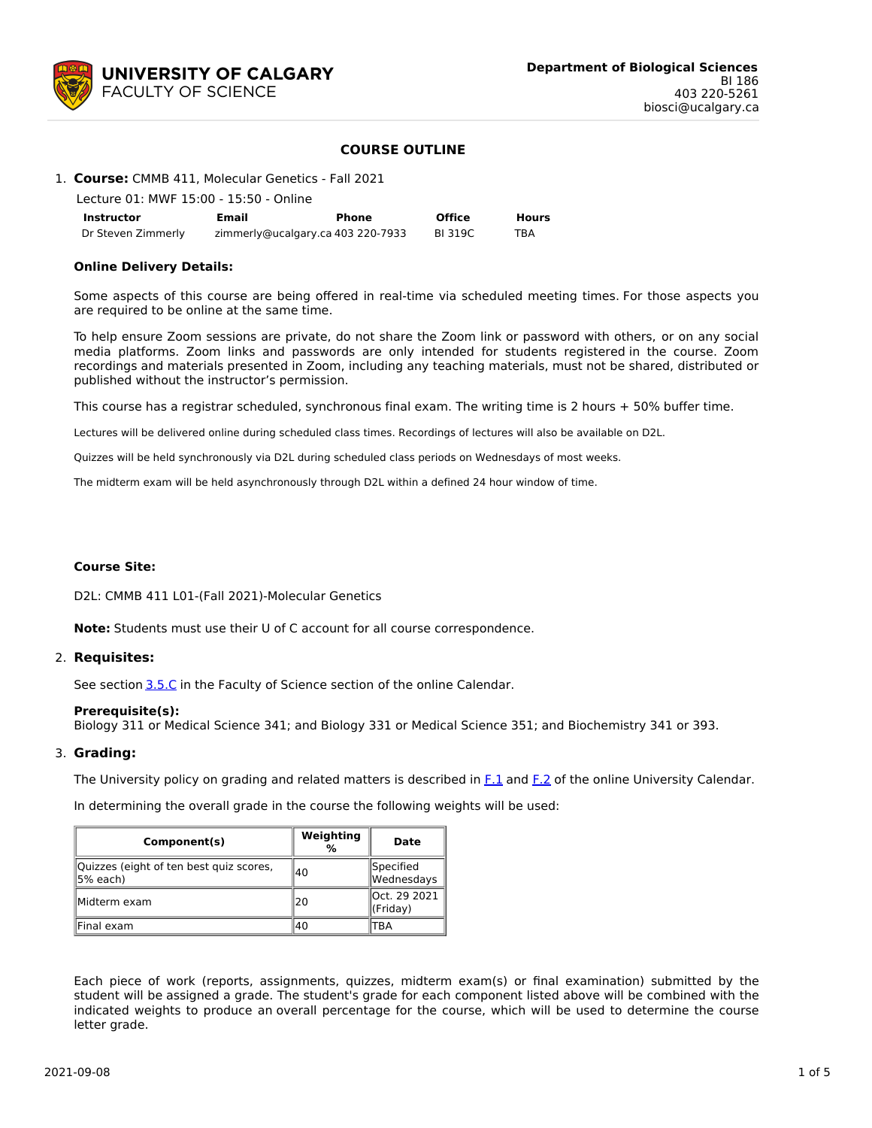

## **COURSE OUTLINE**

### 1. **Course:** CMMB 411, Molecular Genetics - Fall 2021

| Lecture 01: MWF 15:00 - 15:50 - Online |       |                                   |               |       |  |  |  |
|----------------------------------------|-------|-----------------------------------|---------------|-------|--|--|--|
| Instructor                             | Email | Phone                             | <b>Office</b> | Hours |  |  |  |
| Dr Steven Zimmerly                     |       | zimmerly@ucalgary.ca 403 220-7933 | BI 319C       | TBA   |  |  |  |

### **Online Delivery Details:**

Some aspects of this course are being offered in real-time via scheduled meeting times. For those aspects you are required to be online at the same time.

To help ensure Zoom sessions are private, do not share the Zoom link or password with others, or on any social media platforms. Zoom links and passwords are only intended for students registered in the course. Zoom recordings and materials presented in Zoom, including any teaching materials, must not be shared, distributed or published without the instructor's permission.

This course has a registrar scheduled, synchronous final exam. The writing time is 2 hours + 50% buffer time.

Lectures will be delivered online during scheduled class times. Recordings of lectures will also be available on D2L.

Quizzes will be held synchronously via D2L during scheduled class periods on Wednesdays of most weeks.

The midterm exam will be held asynchronously through D2L within a defined 24 hour window of time.

#### **Course Site:**

D2L: CMMB 411 L01-(Fall 2021)-Molecular Genetics

**Note:** Students must use their U of C account for all course correspondence.

#### 2. **Requisites:**

See section [3.5.C](http://www.ucalgary.ca/pubs/calendar/current/sc-3-5.html) in the Faculty of Science section of the online Calendar.

#### **Prerequisite(s):**

Biology 311 or Medical Science 341; and Biology 331 or Medical Science 351; and Biochemistry 341 or 393.

#### 3. **Grading:**

The University policy on grading and related matters is described in [F.1](http://www.ucalgary.ca/pubs/calendar/current/f-1.html) and [F.2](http://www.ucalgary.ca/pubs/calendar/current/f-2.html) of the online University Calendar.

In determining the overall grade in the course the following weights will be used:

| Component(s)                                         | Weighting<br>℅ | Date                     |  |
|------------------------------------------------------|----------------|--------------------------|--|
| Quizzes (eight of ten best quiz scores,<br>∥5% each) | 140            | Specified<br>Wednesdays  |  |
| Midterm exam                                         | 20             | Oct. 29 2021<br>(Friday) |  |
| Final exam                                           | 40             | ΈA                       |  |

Each piece of work (reports, assignments, quizzes, midterm exam(s) or final examination) submitted by the student will be assigned a grade. The student's grade for each component listed above will be combined with the indicated weights to produce an overall percentage for the course, which will be used to determine the course letter grade.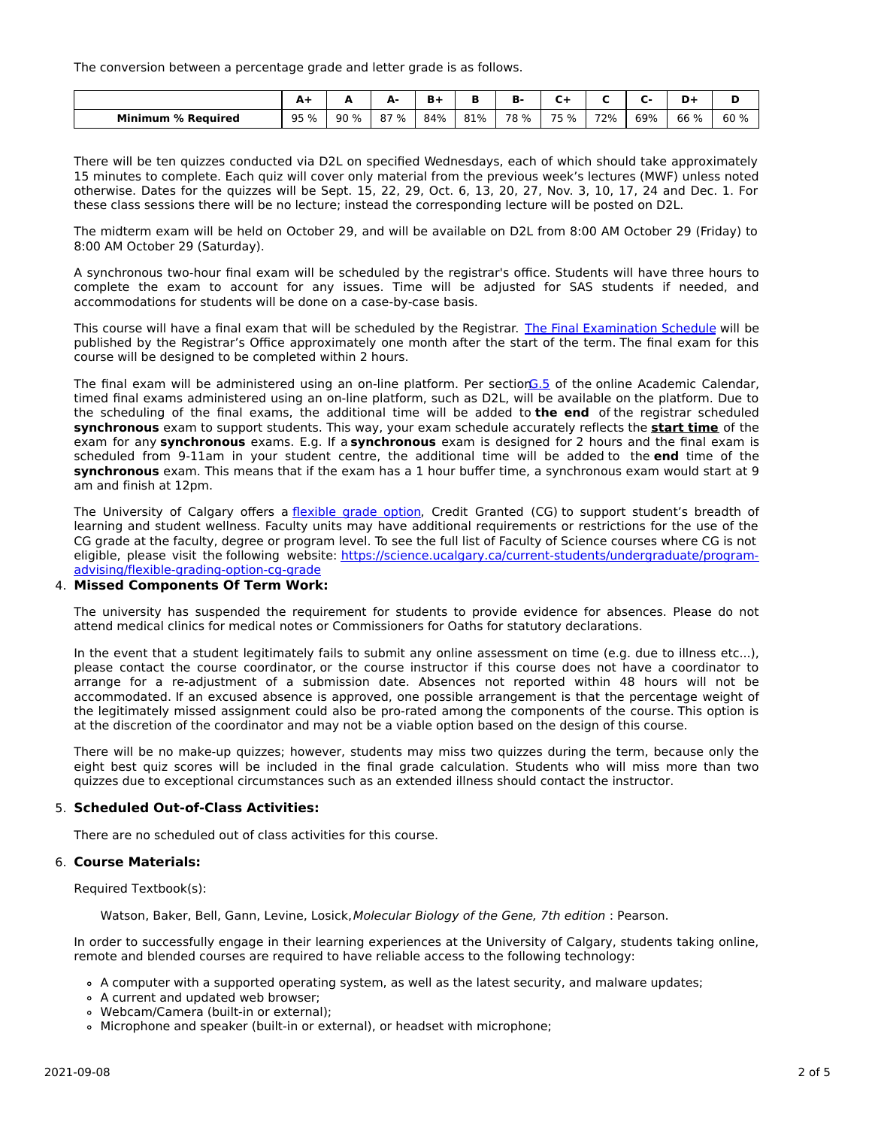The conversion between a percentage grade and letter grade is as follows.

|                                | <u>л</u> | -    | А.<br>÷ |     |     | . .  |      |     |     | -    | Ð<br>м |
|--------------------------------|----------|------|---------|-----|-----|------|------|-----|-----|------|--------|
| <b>Minimum</b><br>। % Reauired | 95 %     | 90 % | 87 %    | 84% | 81% | 78 % | 75 % | 72% | 69% | 66 % | 60 %   |

There will be ten quizzes conducted via D2L on specified Wednesdays, each of which should take approximately 15 minutes to complete. Each quiz will cover only material from the previous week's lectures (MWF) unless noted otherwise. Dates for the quizzes will be Sept. 15, 22, 29, Oct. 6, 13, 20, 27, Nov. 3, 10, 17, 24 and Dec. 1. For these class sessions there will be no lecture; instead the corresponding lecture will be posted on D2L.

The midterm exam will be held on October 29, and will be available on D2L from 8:00 AM October 29 (Friday) to 8:00 AM October 29 (Saturday).

A synchronous two-hour final exam will be scheduled by the registrar's office. Students will have three hours to complete the exam to account for any issues. Time will be adjusted for SAS students if needed, and accommodations for students will be done on a case-by-case basis.

This course will have a final exam that will be scheduled by the Registrar. The Final [Examination](https://www.ucalgary.ca/registrar/exams) Schedule will be published by the Registrar's Office approximately one month after the start of the term. The final exam for this course will be designed to be completed within 2 hours.

The final exam will be administered using an on-line platform. Per sectio[nG.5](https://www.ucalgary.ca/pubs/calendar/current/g-5.html) of the online Academic Calendar, timed final exams administered using an on-line platform, such as D2L, will be available on the platform. Due to the scheduling of the final exams, the additional time will be added to **the end** of the registrar scheduled **synchronous** exam to support students. This way, your exam schedule accurately reflects the **start time** of the exam for any **synchronous** exams. E.g. If a **synchronous** exam is designed for 2 hours and the final exam is scheduled from 9-11am in your student centre, the additional time will be added to the **end** time of the **synchronous** exam. This means that if the exam has a 1 hour buffer time, a synchronous exam would start at 9 am and finish at 12pm.

The University of Calgary offers a [flexible](https://www.ucalgary.ca/pubs/calendar/current/f-1-3.html) grade option, Credit Granted (CG) to support student's breadth of learning and student wellness. Faculty units may have additional requirements or restrictions for the use of the CG grade at the faculty, degree or program level. To see the full list of Faculty of Science courses where CG is not eligible, please visit the following website: [https://science.ucalgary.ca/current-students/undergraduate/program](https://science.ucalgary.ca/current-students/undergraduate/program-advising/flexible-grading-option-cg-grade)advising/flexible-grading-option-cg-grade

## 4. **Missed Components Of Term Work:**

The university has suspended the requirement for students to provide evidence for absences. Please do not attend medical clinics for medical notes or Commissioners for Oaths for statutory declarations.

In the event that a student legitimately fails to submit any online assessment on time (e.g. due to illness etc...), please contact the course coordinator, or the course instructor if this course does not have a coordinator to arrange for a re-adjustment of a submission date. Absences not reported within 48 hours will not be accommodated. If an excused absence is approved, one possible arrangement is that the percentage weight of the legitimately missed assignment could also be pro-rated among the components of the course. This option is at the discretion of the coordinator and may not be a viable option based on the design of this course.

There will be no make-up quizzes; however, students may miss two quizzes during the term, because only the eight best quiz scores will be included in the final grade calculation. Students who will miss more than two quizzes due to exceptional circumstances such as an extended illness should contact the instructor.

## 5. **Scheduled Out-of-Class Activities:**

There are no scheduled out of class activities for this course.

## 6. **Course Materials:**

Required Textbook(s):

Watson, Baker, Bell, Gann, Levine, Losick,Molecular Biology of the Gene, 7th edition : Pearson.

In order to successfully engage in their learning experiences at the University of Calgary, students taking online, remote and blended courses are required to have reliable access to the following technology:

A computer with a supported operating system, as well as the latest security, and malware updates;

- A current and updated web browser;
- Webcam/Camera (built-in or external);
- Microphone and speaker (built-in or external), or headset with microphone;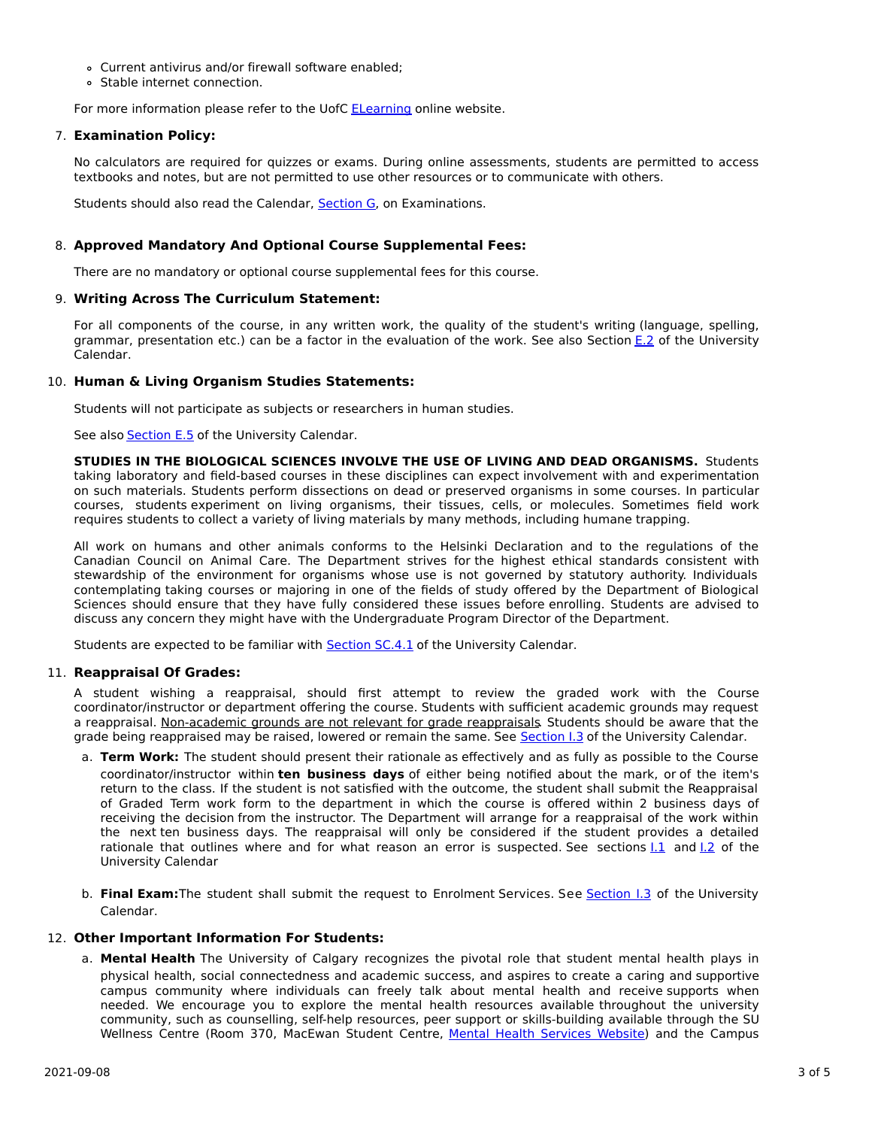- Current antivirus and/or firewall software enabled;
- Stable internet connection.

For more information please refer to the UofC **[ELearning](https://elearn.ucalgary.ca/technology-requirements-for-students) online website.** 

## 7. **Examination Policy:**

No calculators are required for quizzes or exams. During online assessments, students are permitted to access textbooks and notes, but are not permitted to use other resources or to communicate with others.

Students should also read the Calendar, [Section](http://www.ucalgary.ca/pubs/calendar/current/g.html) G, on Examinations.

## 8. **Approved Mandatory And Optional Course Supplemental Fees:**

There are no mandatory or optional course supplemental fees for this course.

## 9. **Writing Across The Curriculum Statement:**

For all components of the course, in any written work, the quality of the student's writing (language, spelling, grammar, presentation etc.) can be a factor in the evaluation of the work. See also Section [E.2](http://www.ucalgary.ca/pubs/calendar/current/e-2.html) of the University Calendar.

## 10. **Human & Living Organism Studies Statements:**

Students will not participate as subjects or researchers in human studies.

See also [Section](http://www.ucalgary.ca/pubs/calendar/current/e-5.html) E.5 of the University Calendar.

**STUDIES IN THE BIOLOGICAL SCIENCES INVOLVE THE USE OF LIVING AND DEAD ORGANISMS.** Students taking laboratory and field-based courses in these disciplines can expect involvement with and experimentation on such materials. Students perform dissections on dead or preserved organisms in some courses. In particular courses, students experiment on living organisms, their tissues, cells, or molecules. Sometimes field work requires students to collect a variety of living materials by many methods, including humane trapping.

All work on humans and other animals conforms to the Helsinki Declaration and to the regulations of the Canadian Council on Animal Care. The Department strives for the highest ethical standards consistent with stewardship of the environment for organisms whose use is not governed by statutory authority. Individuals contemplating taking courses or majoring in one of the fields of study offered by the Department of Biological Sciences should ensure that they have fully considered these issues before enrolling. Students are advised to discuss any concern they might have with the Undergraduate Program Director of the Department.

Students are expected to be familiar with **[Section](http://www.ucalgary.ca/pubs/calendar/current/sc-4-1.html) SC.4.1** of the University Calendar.

# 11. **Reappraisal Of Grades:**

A student wishing a reappraisal, should first attempt to review the graded work with the Course coordinator/instructor or department offering the course. Students with sufficient academic grounds may request a reappraisal. Non-academic grounds are not relevant for grade reappraisals. Students should be aware that the grade being reappraised may be raised, lowered or remain the same. See [Section](http://www.ucalgary.ca/pubs/calendar/current/i-3.html) I.3 of the University Calendar.

- a. **Term Work:** The student should present their rationale as effectively and as fully as possible to the Course coordinator/instructor within **ten business days** of either being notified about the mark, or of the item's return to the class. If the student is not satisfied with the outcome, the student shall submit the Reappraisal of Graded Term work form to the department in which the course is offered within 2 business days of receiving the decision from the instructor. The Department will arrange for a reappraisal of the work within the next ten business days. The reappraisal will only be considered if the student provides a detailed rationale that outlines where and for what reason an error is suspected. See sections 1.1 and 1.2 of the University Calendar
- b. **Final Exam:**The student shall submit the request to Enrolment Services. See [Section](http://www.ucalgary.ca/pubs/calendar/current/i-3.html) I.3 of the University Calendar.

# 12. **Other Important Information For Students:**

a. **Mental Health** The University of Calgary recognizes the pivotal role that student mental health plays in physical health, social connectedness and academic success, and aspires to create a caring and supportive campus community where individuals can freely talk about mental health and receive supports when needed. We encourage you to explore the mental health resources available throughout the university community, such as counselling, self-help resources, peer support or skills-building available through the SU Wellness Centre (Room 370, MacEwan Student Centre, Mental Health [Services](https://www.ucalgary.ca/wellnesscentre/services/mental-health-services) Website) and the Campus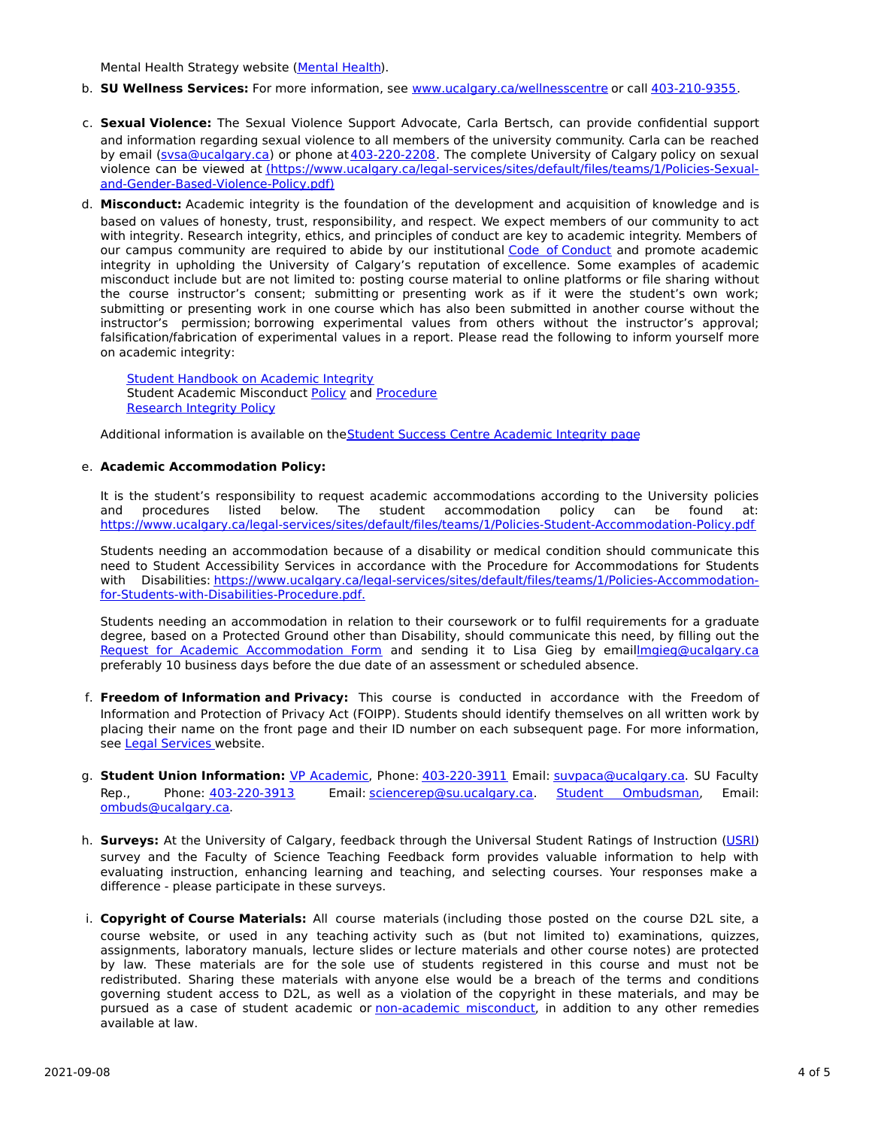Mental Health Strategy website [\(Mental](http://www.ucalgary.ca/mentalhealth) Health).

- b. **SU Wellness Services:** For more information, see [www.ucalgary.ca/wellnesscentre](http://www.ucalgary.ca/wellnesscentre) or call [403-210-9355.](tel:4032109355)
- c. **Sexual Violence:** The Sexual Violence Support Advocate, Carla Bertsch, can provide confidential support and information regarding sexual violence to all members of the university community. Carla can be reached by email [\(svsa@ucalgary.ca](mailto:svsa@ucalgary.ca)) or phone at [403-220-2208](tel:4032202208). The complete University of Calgary policy on sexual violence can be viewed at [\(https://www.ucalgary.ca/legal-services/sites/default/files/teams/1/Policies-Sexual](https://www.ucalgary.ca/legal-services/sites/default/files/teams/1/Policies-Sexual-and-Gender-Based-Violence-Policy.pdf)and-Gender-Based-Violence-Policy.pdf)
- d. **Misconduct:** Academic integrity is the foundation of the development and acquisition of knowledge and is based on values of honesty, trust, responsibility, and respect. We expect members of our community to act with integrity. Research integrity, ethics, and principles of conduct are key to academic integrity. Members of our campus community are required to abide by our institutional Code of [Conduct](https://www.ucalgary.ca/legal-services/sites/default/files/teams/1/Policies-Code-of-Conduct.pdf) and promote academic integrity in upholding the University of Calgary's reputation of excellence. Some examples of academic misconduct include but are not limited to: posting course material to online platforms or file sharing without the course instructor's consent; submitting or presenting work as if it were the student's own work; submitting or presenting work in one course which has also been submitted in another course without the instructor's permission; borrowing experimental values from others without the instructor's approval; falsification/fabrication of experimental values in a report. Please read the following to inform yourself more on academic integrity:

Student [Handbook](https://www.ucalgary.ca/live-uc-ucalgary-site/sites/default/files/teams/9/AI-Student-handbook-1.pdf) on Academic Integrity Student Academic Misconduct [Policy](https://www.ucalgary.ca/legal-services/sites/default/files/teams/1/Policies-Student-Academic-Misconduct-Policy.pdf) and [Procedure](https://www.ucalgary.ca/legal-services/sites/default/files/teams/1/Policies-Student-Academic-Misconduct-Procedure.pdf) [Research](https://www.ucalgary.ca/legal-services/sites/default/files/teams/1/Policies-Research-Integrity-Policy.pdf) Integrity Policy

Additional information is available on the Student Success Centre [Academic](https://ucalgary.ca/student-services/student-success/learning/academic-integrity) Integrity page

### e. **Academic Accommodation Policy:**

It is the student's responsibility to request academic accommodations according to the University policies and procedures listed below. The student accommodation policy can be found at: <https://www.ucalgary.ca/legal-services/sites/default/files/teams/1/Policies-Student-Accommodation-Policy.pdf>

Students needing an accommodation because of a disability or medical condition should communicate this need to Student Accessibility Services in accordance with the Procedure for Accommodations for Students with Disabilities: [https://www.ucalgary.ca/legal-services/sites/default/files/teams/1/Policies-Accommodation](https://www.ucalgary.ca/legal-services/sites/default/files/teams/1/Policies-Accommodation-for-Students-with-Disabilities-Procedure.pdf)for-Students-with-Disabilities-Procedure.pdf.

Students needing an accommodation in relation to their coursework or to fulfil requirements for a graduate degree, based on a Protected Ground other than Disability, should communicate this need, by filling out the Request for Academic [Accommodation](https://science.ucalgary.ca/sites/default/files/teams/1/request-accommodation-academic-courses.pdf) Form and sending it to Lisa Gieg by emai[llmgieg@ucalgary.ca](mailto:lmgieg@ucalgary.ca) preferably 10 business days before the due date of an assessment or scheduled absence.

- f. **Freedom of Information and Privacy:** This course is conducted in accordance with the Freedom of Information and Protection of Privacy Act (FOIPP). Students should identify themselves on all written work by placing their name on the front page and their ID number on each subsequent page. For more information, see Legal [Services](https://www.ucalgary.ca/legal-services/access-information-privacy) website.
- g. **Student Union Information:** VP [Academic](http://www.su.ucalgary.ca/contact), Phone: [403-220-3911](tel:4032203911) Email: [suvpaca@ucalgary.ca](mailto:suvpaca@ucalgary.ca). SU Faculty Rep., Phone: [403-220-3913](tel:4032203913) Email: [sciencerep@su.ucalgary.ca](mailto:sciencerep@su.ucalgary.ca). Student [Ombudsman](https://www.ucalgary.ca/ombuds/), Email: [ombuds@ucalgary.ca](mailto:%20ombuds@ucalgary.ca).
- h. **Surveys:** At the University of Calgary, feedback through the Universal Student Ratings of Instruction [\(USRI](http://www.ucalgary.ca/usri)) survey and the Faculty of Science Teaching Feedback form provides valuable information to help with evaluating instruction, enhancing learning and teaching, and selecting courses. Your responses make a difference - please participate in these surveys.
- i. **Copyright of Course Materials:** All course materials (including those posted on the course D2L site, a course website, or used in any teaching activity such as (but not limited to) examinations, quizzes, assignments, laboratory manuals, lecture slides or lecture materials and other course notes) are protected by law. These materials are for the sole use of students registered in this course and must not be redistributed. Sharing these materials with anyone else would be a breach of the terms and conditions governing student access to D2L, as well as a violation of the copyright in these materials, and may be pursued as a case of student academic or [non-academic](https://www.ucalgary.ca/conduct/policy/non-academic-misconduct-policy) misconduct, in addition to any other remedies available at law.